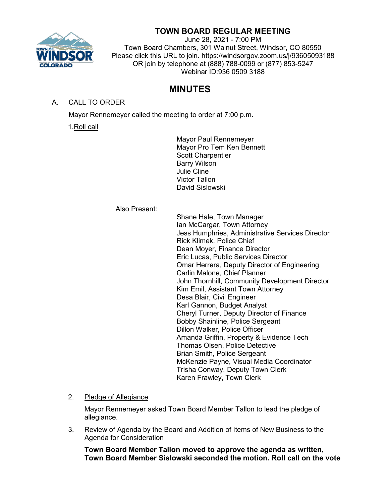

# **TOWN BOARD REGULAR MEETING**

June 28, 2021 - 7:00 PM Town Board Chambers, 301 Walnut Street, Windsor, CO 80550 Please click this URL to join. https://windsorgov.zoom.us/j/93605093188 OR join by telephone at (888) 788-0099 or (877) 853-5247 Webinar ID:936 0509 3188

# **MINUTES**

### A. CALL TO ORDER

Mayor Rennemeyer called the meeting to order at 7:00 p.m.

1.Roll call

Mayor Paul Rennemeyer Mayor Pro Tem Ken Bennett Scott Charpentier Barry Wilson Julie Cline Victor Tallon David Sislowski

Also Present:

Shane Hale, Town Manager Ian McCargar, Town Attorney Jess Humphries, Administrative Services Director Rick Klimek, Police Chief Dean Moyer, Finance Director Eric Lucas, Public Services Director Omar Herrera, Deputy Director of Engineering Carlin Malone, Chief Planner John Thornhill, Community Development Director Kim Emil, Assistant Town Attorney Desa Blair, Civil Engineer Karl Gannon, Budget Analyst Cheryl Turner, Deputy Director of Finance Bobby Shainline, Police Sergeant Dillon Walker, Police Officer Amanda Griffin, Property & Evidence Tech Thomas Olsen, Police Detective Brian Smith, Police Sergeant McKenzie Payne, Visual Media Coordinator Trisha Conway, Deputy Town Clerk Karen Frawley, Town Clerk

### 2. Pledge of Allegiance

Mayor Rennemeyer asked Town Board Member Tallon to lead the pledge of allegiance.

3. Review of Agenda by the Board and Addition of Items of New Business to the Agenda for Consideration

**Town Board Member Tallon moved to approve the agenda as written, Town Board Member Sislowski seconded the motion. Roll call on the vote**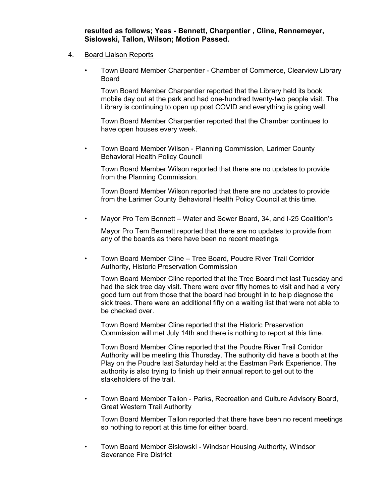**resulted as follows; Yeas - Bennett, Charpentier , Cline, Rennemeyer, Sislowski, Tallon, Wilson; Motion Passed.**

#### 4. Board Liaison Reports

• Town Board Member Charpentier - Chamber of Commerce, Clearview Library Board

Town Board Member Charpentier reported that the Library held its book mobile day out at the park and had one-hundred twenty-two people visit. The Library is continuing to open up post COVID and everything is going well.

Town Board Member Charpentier reported that the Chamber continues to have open houses every week.

• Town Board Member Wilson - Planning Commission, Larimer County Behavioral Health Policy Council

Town Board Member Wilson reported that there are no updates to provide from the Planning Commission.

Town Board Member Wilson reported that there are no updates to provide from the Larimer County Behavioral Health Policy Council at this time.

• Mayor Pro Tem Bennett – Water and Sewer Board, 34, and I-25 Coalition's

Mayor Pro Tem Bennett reported that there are no updates to provide from any of the boards as there have been no recent meetings.

• Town Board Member Cline – Tree Board, Poudre River Trail Corridor Authority, Historic Preservation Commission

Town Board Member Cline reported that the Tree Board met last Tuesday and had the sick tree day visit. There were over fifty homes to visit and had a very good turn out from those that the board had brought in to help diagnose the sick trees. There were an additional fifty on a waiting list that were not able to be checked over.

Town Board Member Cline reported that the Historic Preservation Commission will met July 14th and there is nothing to report at this time.

Town Board Member Cline reported that the Poudre River Trail Corridor Authority will be meeting this Thursday. The authority did have a booth at the Play on the Poudre last Saturday held at the Eastman Park Experience. The authority is also trying to finish up their annual report to get out to the stakeholders of the trail.

• Town Board Member Tallon - Parks, Recreation and Culture Advisory Board, Great Western Trail Authority

Town Board Member Tallon reported that there have been no recent meetings so nothing to report at this time for either board.

• Town Board Member Sislowski - Windsor Housing Authority, Windsor Severance Fire District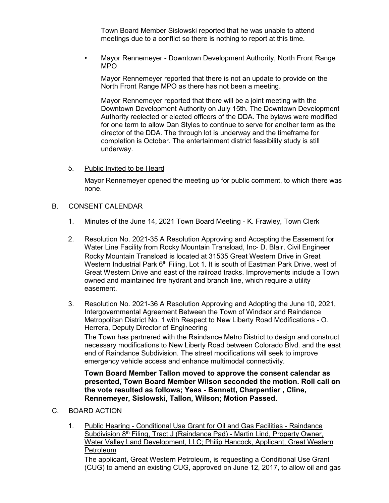Town Board Member Sislowski reported that he was unable to attend meetings due to a conflict so there is nothing to report at this time.

• Mayor Rennemeyer - Downtown Development Authority, North Front Range MPO

Mayor Rennemeyer reported that there is not an update to provide on the North Front Range MPO as there has not been a meeting.

Mayor Rennemeyer reported that there will be a joint meeting with the Downtown Development Authority on July 15th. The Downtown Development Authority reelected or elected officers of the DDA. The bylaws were modified for one term to allow Dan Styles to continue to serve for another term as the director of the DDA. The through lot is underway and the timeframe for completion is October. The entertainment district feasibility study is still underway.

5. Public Invited to be Heard

Mayor Rennemeyer opened the meeting up for public comment, to which there was none.

- B. CONSENT CALENDAR
	- 1. Minutes of the June 14, 2021 Town Board Meeting K. Frawley, Town Clerk
	- 2. Resolution No. 2021-35 A Resolution Approving and Accepting the Easement for Water Line Facility from Rocky Mountain Transload, Inc- D. Blair, Civil Engineer Rocky Mountain Transload is located at 31535 Great Western Drive in Great Western Industrial Park  $6<sup>th</sup>$  Filing, Lot 1. It is south of Eastman Park Drive, west of Great Western Drive and east of the railroad tracks. Improvements include a Town owned and maintained fire hydrant and branch line, which require a utility easement.
	- 3. Resolution No. 2021-36 A Resolution Approving and Adopting the June 10, 2021, Intergovernmental Agreement Between the Town of Windsor and Raindance Metropolitan District No. 1 with Respect to New Liberty Road Modifications - O. Herrera, Deputy Director of Engineering

The Town has partnered with the Raindance Metro District to design and construct necessary modifications to New Liberty Road between Colorado Blvd. and the east end of Raindance Subdivision. The street modifications will seek to improve emergency vehicle access and enhance multimodal connectivity.

**Town Board Member Tallon moved to approve the consent calendar as presented, Town Board Member Wilson seconded the motion. Roll call on the vote resulted as follows; Yeas - Bennett, Charpentier , Cline, Rennemeyer, Sislowski, Tallon, Wilson; Motion Passed.**

- C. BOARD ACTION
	- 1. Public Hearing Conditional Use Grant for Oil and Gas Facilities Raindance Subdivision  $8<sup>th</sup>$  Filing, Tract J (Raindance Pad) - Martin Lind, Property Owner, Water Valley Land Development, LLC; Philip Hancock, Applicant, Great Western Petroleum

The applicant, Great Western Petroleum, is requesting a Conditional Use Grant (CUG) to amend an existing CUG, approved on June 12, 2017, to allow oil and gas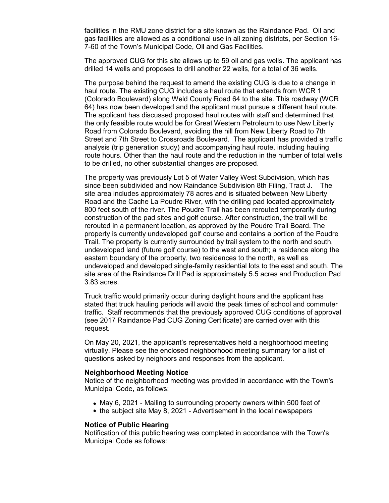facilities in the RMU zone district for a site known as the Raindance Pad. Oil and gas facilities are allowed as a conditional use in all zoning districts, per Section 16- 7-60 of the Town's Municipal Code, Oil and Gas Facilities.

The approved CUG for this site allows up to 59 oil and gas wells. The applicant has drilled 14 wells and proposes to drill another 22 wells, for a total of 36 wells.

The purpose behind the request to amend the existing CUG is due to a change in haul route. The existing CUG includes a haul route that extends from WCR 1 (Colorado Boulevard) along Weld County Road 64 to the site. This roadway (WCR 64) has now been developed and the applicant must pursue a different haul route. The applicant has discussed proposed haul routes with staff and determined that the only feasible route would be for Great Western Petroleum to use New Liberty Road from Colorado Boulevard, avoiding the hill from New Liberty Road to 7th Street and 7th Street to Crossroads Boulevard. The applicant has provided a traffic analysis (trip generation study) and accompanying haul route, including hauling route hours. Other than the haul route and the reduction in the number of total wells to be drilled, no other substantial changes are proposed.

The property was previously Lot 5 of Water Valley West Subdivision, which has since been subdivided and now Raindance Subdivision 8th Filing, Tract J. The site area includes approximately 78 acres and is situated between New Liberty Road and the Cache La Poudre River, with the drilling pad located approximately 800 feet south of the river. The Poudre Trail has been rerouted temporarily during construction of the pad sites and golf course. After construction, the trail will be rerouted in a permanent location, as approved by the Poudre Trail Board. The property is currently undeveloped golf course and contains a portion of the Poudre Trail. The property is currently surrounded by trail system to the north and south, undeveloped land (future golf course) to the west and south; a residence along the eastern boundary of the property, two residences to the north, as well as undeveloped and developed single-family residential lots to the east and south. The site area of the Raindance Drill Pad is approximately 5.5 acres and Production Pad 3.83 acres.

Truck traffic would primarily occur during daylight hours and the applicant has stated that truck hauling periods will avoid the peak times of school and commuter traffic. Staff recommends that the previously approved CUG conditions of approval (see 2017 Raindance Pad CUG Zoning Certificate) are carried over with this request.

On May 20, 2021, the applicant's representatives held a neighborhood meeting virtually. Please see the enclosed neighborhood meeting summary for a list of questions asked by neighbors and responses from the applicant.

#### **Neighborhood Meeting Notice**

Notice of the neighborhood meeting was provided in accordance with the Town's Municipal Code, as follows:

- May 6, 2021 Mailing to surrounding property owners within 500 feet of
- the subject site May 8, 2021 Advertisement in the local newspapers

#### **Notice of Public Hearing**

Notification of this public hearing was completed in accordance with the Town's Municipal Code as follows: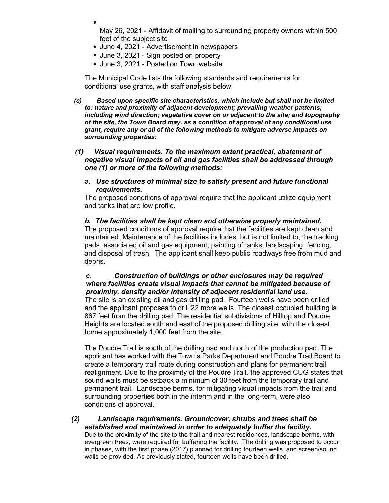May 26, 2021 - Affidavit of mailing to surrounding property owners within 500 feet of the subject site

- June 4, 2021 Advertisement in newspapers
- June 3, 2021 Sign posted on property
- June 3, 2021 Posted on Town website

The Municipal Code lists the following standards and requirements for conditional use grants, with staff analysis below:

- *(c) Based upon specific site characteristics, which include but shall not be limited to: nature and proximity of adjacent development; prevailing weather patterns, including wind direction; vegetative cover on or adjacent to the site; and topography of the site, the Town Board may, as a condition of approval of any conditional use grant, require any or all of the following methods to mitigate adverse impacts on surrounding properties:*
- *(1) Visual requirements. To the maximum extent practical, abatement of negative visual impacts of oil and gas facilities shall be addressed through one (1) or more of the following methods:*
	- a. *Use structures of minimal size to satisfy present and future functional requirements.*

The proposed conditions of approval require that the applicant utilize equipment and tanks that are low profile.

#### *b. The facilities shall be kept clean and otherwise properly maintained.*

The proposed conditions of approval require that the facilities are kept clean and maintained. Maintenance of the facilities includes, but is not limited to, the tracking pads, associated oil and gas equipment, painting of tanks, landscaping, fencing, and disposal of trash. The applicant shall keep public roadways free from mud and debris.

### *c. Construction of buildings or other enclosures may be required where facilities create visual impacts that cannot be mitigated because of proximity, density and/or intensity of adjacent residential land use.*

The site is an existing oil and gas drilling pad. Fourteen wells have been drilled and the applicant proposes to drill 22 more wells. The closest occupied building is 867 feet from the drilling pad. The residential subdivisions of Hilltop and Poudre Heights are located south and east of the proposed drilling site, with the closest home approximately 1,000 feet from the site.

The Poudre Trail is south of the drilling pad and north of the production pad. The applicant has worked with the Town's Parks Department and Poudre Trail Board to create a temporary trail route during construction and plans for permanent trail realignment. Due to the proximity of the Poudre Trail, the approved CUG states that sound walls must be setback a minimum of 30 feet from the temporary trail and permanent trail. Landscape berms, for mitigating visual impacts from the trail and surrounding properties both in the interim and in the long-term, were also conditions of approval.

*(2) Landscape requirements. Groundcover, shrubs and trees shall be established and maintained in order to adequately buffer the facility.* Due to the proximity of the site to the trail and nearest residences, landscape berms, with evergreen trees, were required for buffering the facility. The drilling was proposed to occur in phases, with the first phase (2017) planned for drilling fourteen wells, and screen/sound walls be provided. As previously stated, fourteen wells have been drilled.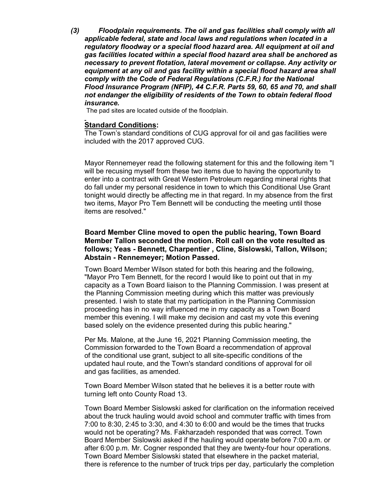*(3) Floodplain requirements. The oil and gas facilities shall comply with all applicable federal, state and local laws and regulations when located in a regulatory floodway or a special flood hazard area. All equipment at oil and gas facilities located within a special flood hazard area shall be anchored as necessary to prevent flotation, lateral movement or collapse. Any activity or equipment at any oil and gas facility within a special flood hazard area shall comply with the Code of Federal Regulations (C.F.R.) for the National Flood Insurance Program (NFIP), 44 C.F.R. Parts 59, 60, 65 and 70, and shall not endanger the eligibility of residents of the Town to obtain federal flood insurance.*

The pad sites are located outside of the floodplain.

#### **Standard Conditions:**

The Town's standard conditions of CUG approval for oil and gas facilities were included with the 2017 approved CUG.

Mayor Rennemeyer read the following statement for this and the following item "I will be recusing myself from these two items due to having the opportunity to enter into a contract with Great Western Petroleum regarding mineral rights that do fall under my personal residence in town to which this Conditional Use Grant tonight would directly be affecting me in that regard. In my absence from the first two items, Mayor Pro Tem Bennett will be conducting the meeting until those items are resolved."

### **Board Member Cline moved to open the public hearing, Town Board Member Tallon seconded the motion. Roll call on the vote resulted as follows; Yeas - Bennett, Charpentier , Cline, Sislowski, Tallon, Wilson; Abstain - Rennemeyer; Motion Passed.**

Town Board Member Wilson stated for both this hearing and the following, "Mayor Pro Tem Bennett, for the record I would like to point out that in my capacity as a Town Board liaison to the Planning Commission. I was present at the Planning Commission meeting during which this matter was previously presented. I wish to state that my participation in the Planning Commission proceeding has in no way influenced me in my capacity as a Town Board member this evening. I will make my decision and cast my vote this evening based solely on the evidence presented during this public hearing."

Per Ms. Malone, at the June 16, 2021 Planning Commission meeting, the Commission forwarded to the Town Board a recommendation of approval of the conditional use grant, subject to all site-specific conditions of the updated haul route, and the Town's standard conditions of approval for oil and gas facilities, as amended.

Town Board Member Wilson stated that he believes it is a better route with turning left onto County Road 13.

Town Board Member Sislowski asked for clarification on the information received about the truck hauling would avoid school and commuter traffic with times from 7:00 to 8:30, 2:45 to 3:30, and 4:30 to 6:00 and would be the times that trucks would not be operating? Ms. Fakharzadeh responded that was correct. Town Board Member Sislowski asked if the hauling would operate before 7:00 a.m. or after 6:00 p.m. Mr. Cogner responded that they are twenty-four hour operations. Town Board Member Sislowski stated that elsewhere in the packet material, there is reference to the number of truck trips per day, particularly the completion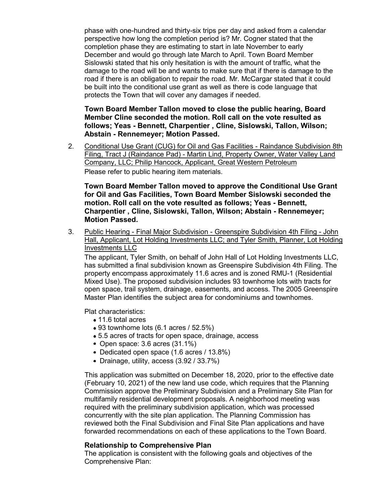phase with one-hundred and thirty-six trips per day and asked from a calendar perspective how long the completion period is? Mr. Cogner stated that the completion phase they are estimating to start in late November to early December and would go through late March to April. Town Board Member Sislowski stated that his only hesitation is with the amount of traffic, what the damage to the road will be and wants to make sure that if there is damage to the road if there is an obligation to repair the road. Mr. McCargar stated that it could be built into the conditional use grant as well as there is code language that protects the Town that will cover any damages if needed.

**Town Board Member Tallon moved to close the public hearing, Board Member Cline seconded the motion. Roll call on the vote resulted as follows; Yeas - Bennett, Charpentier , Cline, Sislowski, Tallon, Wilson; Abstain - Rennemeyer; Motion Passed.**

2. Conditional Use Grant (CUG) for Oil and Gas Facilities - Raindance Subdivision 8th Filing, Tract J (Raindance Pad) - Martin Lind, Property Owner, Water Valley Land Company, LLC; Philip Hancock, Applicant, Great Western Petroleum Please refer to public hearing item materials.

**Town Board Member Tallon moved to approve the Conditional Use Grant for Oil and Gas Facilities, Town Board Member Sislowski seconded the motion. Roll call on the vote resulted as follows; Yeas - Bennett, Charpentier , Cline, Sislowski, Tallon, Wilson; Abstain - Rennemeyer; Motion Passed.**

3. Public Hearing - Final Major Subdivision - Greenspire Subdivision 4th Filing - John Hall, Applicant, Lot Holding Investments LLC; and Tyler Smith, Planner, Lot Holding Investments LLC

The applicant, Tyler Smith, on behalf of John Hall of Lot Holding Investments LLC, has submitted a final subdivision known as Greenspire Subdivision 4th Filing. The property encompass approximately 11.6 acres and is zoned RMU-1 (Residential Mixed Use). The proposed subdivision includes 93 townhome lots with tracts for open space, trail system, drainage, easements, and access. The 2005 Greenspire Master Plan identifies the subject area for condominiums and townhomes.

Plat characteristics:

- 11.6 total acres
- 93 townhome lots (6.1 acres / 52.5%)
- 5.5 acres of tracts for open space, drainage, access
- Open space: 3.6 acres (31.1%)
- Dedicated open space (1.6 acres / 13.8%)
- Drainage, utility, access (3.92 / 33.7%)

This application was submitted on December 18, 2020, prior to the effective date (February 10, 2021) of the new land use code, which requires that the Planning Commission approve the Preliminary Subdivision and a Preliminary Site Plan for multifamily residential development proposals. A neighborhood meeting was required with the preliminary subdivision application, which was processed concurrently with the site plan application. The Planning Commission has reviewed both the Final Subdivision and Final Site Plan applications and have forwarded recommendations on each of these applications to the Town Board.

### **Relationship to Comprehensive Plan**

The application is consistent with the following goals and objectives of the Comprehensive Plan: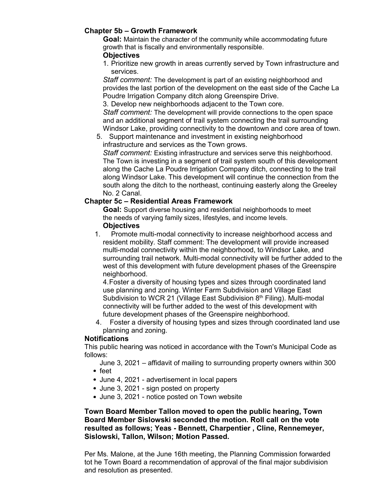## **Chapter 5b – Growth Framework**

**Goal:** Maintain the character of the community while accommodating future growth that is fiscally and environmentally responsible.

### **Objectives**

1. Prioritize new growth in areas currently served by Town infrastructure and services.

*Staff comment:* The development is part of an existing neighborhood and provides the last portion of the development on the east side of the Cache La Poudre Irrigation Company ditch along Greenspire Drive.

3. Develop new neighborhoods adjacent to the Town core.

*Staff comment:* The development will provide connections to the open space and an additional segment of trail system connecting the trail surrounding Windsor Lake, providing connectivity to the downtown and core area of town.

5. Support maintenance and investment in existing neighborhood infrastructure and services as the Town grows.

*Staff comment:* Existing infrastructure and services serve this neighborhood. The Town is investing in a segment of trail system south of this development along the Cache La Poudre Irrigation Company ditch, connecting to the trail along Windsor Lake. This development will continue the connection from the south along the ditch to the northeast, continuing easterly along the Greeley No. 2 Canal.

## **Chapter 5c – Residential Areas Framework**

**Goal:** Support diverse housing and residential neighborhoods to meet the needs of varying family sizes, lifestyles, and income levels.

**Objectives**<br>1. Promote Promote multi-modal connectivity to increase neighborhood access and resident mobility. Staff comment: The development will provide increased multi-modal connectivity within the neighborhood, to Windsor Lake, and surrounding trail network. Multi-modal connectivity will be further added to the west of this development with future development phases of the Greenspire neighborhood.

4.Foster a diversity of housing types and sizes through coordinated land use planning and zoning. Winter Farm Subdivision and Village East Subdivision to WCR 21 (Village East Subdivision  $8<sup>th</sup>$  Filing). Multi-modal connectivity will be further added to the west of this development with future development phases of the Greenspire neighborhood.

4. Foster a diversity of housing types and sizes through coordinated land use planning and zoning.

## **Notifications**

This public hearing was noticed in accordance with the Town's Municipal Code as follows:

June 3, 2021 – affidavit of mailing to surrounding property owners within 300

- feet
- June 4, 2021 advertisement in local papers
- June 3, 2021 sign posted on property
- June 3, 2021 notice posted on Town website

**Town Board Member Tallon moved to open the public hearing, Town Board Member Sislowski seconded the motion. Roll call on the vote resulted as follows; Yeas - Bennett, Charpentier , Cline, Rennemeyer, Sislowski, Tallon, Wilson; Motion Passed.**

Per Ms. Malone, at the June 16th meeting, the Planning Commission forwarded tot he Town Board a recommendation of approval of the final major subdivision and resolution as presented.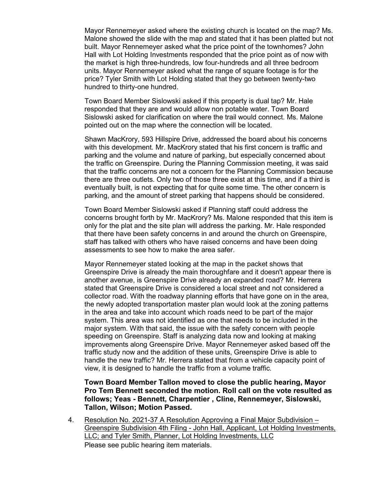Mayor Rennemeyer asked where the existing church is located on the map? Ms. Malone showed the slide with the map and stated that it has been platted but not built. Mayor Rennemeyer asked what the price point of the townhomes? John Hall with Lot Holding Investments responded that the price point as of now with the market is high three-hundreds, low four-hundreds and all three bedroom units. Mayor Rennemeyer asked what the range of square footage is for the price? Tyler Smith with Lot Holding stated that they go between twenty-two hundred to thirty-one hundred.

Town Board Member Sislowski asked if this property is dual tap? Mr. Hale responded that they are and would allow non potable water. Town Board Sislowski asked for clarification on where the trail would connect. Ms. Malone pointed out on the map where the connection will be located.

Shawn MacKrory, 593 Hillspire Drive, addressed the board about his concerns with this development. Mr. MacKrory stated that his first concern is traffic and parking and the volume and nature of parking, but especially concerned about the traffic on Greenspire. During the Planning Commission meeting, it was said that the traffic concerns are not a concern for the Planning Commission because there are three outlets. Only two of those three exist at this time, and if a third is eventually built, is not expecting that for quite some time. The other concern is parking, and the amount of street parking that happens should be considered.

Town Board Member Sislowski asked if Planning staff could address the concerns brought forth by Mr. MacKrory? Ms. Malone responded that this item is only for the plat and the site plan will address the parking. Mr. Hale responded that there have been safety concerns in and around the church on Greenspire, staff has talked with others who have raised concerns and have been doing assessments to see how to make the area safer.

Mayor Rennemeyer stated looking at the map in the packet shows that Greenspire Drive is already the main thoroughfare and it doesn't appear there is another avenue, is Greenspire Drive already an expanded road? Mr. Herrera stated that Greenspire Drive is considered a local street and not considered a collector road. With the roadway planning efforts that have gone on in the area, the newly adopted transportation master plan would look at the zoning patterns in the area and take into account which roads need to be part of the major system. This area was not identified as one that needs to be included in the major system. With that said, the issue with the safety concern with people speeding on Greenspire. Staff is analyzing data now and looking at making improvements along Greenspire Drive. Mayor Rennemeyer asked based off the traffic study now and the addition of these units, Greenspire Drive is able to handle the new traffic? Mr. Herrera stated that from a vehicle capacity point of view, it is designed to handle the traffic from a volume traffic.

### **Town Board Member Tallon moved to close the public hearing, Mayor Pro Tem Bennett seconded the motion. Roll call on the vote resulted as follows; Yeas - Bennett, Charpentier , Cline, Rennemeyer, Sislowski, Tallon, Wilson; Motion Passed.**

4. Resolution No. 2021-37 A Resolution Approving a Final Major Subdivision -Greenspire Subdivision 4th Filing - John Hall, Applicant, Lot Holding Investments, LLC; and Tyler Smith, Planner, Lot Holding Investments, LLC Please see public hearing item materials.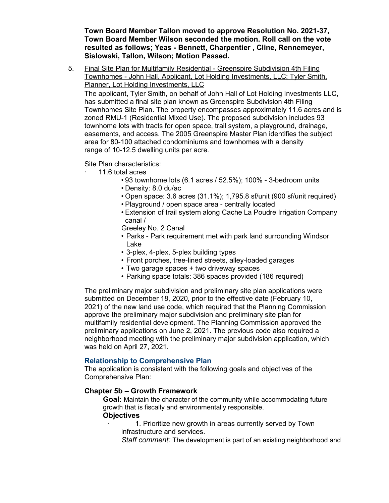**Town Board Member Tallon moved to approve Resolution No. 2021-37, Town Board Member Wilson seconded the motion. Roll call on the vote resulted as follows; Yeas - Bennett, Charpentier , Cline, Rennemeyer, Sislowski, Tallon, Wilson; Motion Passed.**

5. Final Site Plan for Multifamily Residential - Greenspire Subdivision 4th Filing Townhomes - John Hall, Applicant, Lot Holding Investments, LLC; Tyler Smith, Planner, Lot Holding Investments, LLC

The applicant, Tyler Smith, on behalf of John Hall of Lot Holding Investments LLC, has submitted a final site plan known as Greenspire Subdivision 4th Filing Townhomes Site Plan. The property encompasses approximately 11.6 acres and is zoned RMU-1 (Residential Mixed Use). The proposed subdivision includes 93 townhome lots with tracts for open space, trail system, a playground, drainage, easements, and access. The 2005 Greenspire Master Plan identifies the subject area for 80-100 attached condominiums and townhomes with a density range of 10-12.5 dwelling units per acre.

Site Plan characteristics:

- · 11.6 total acres
	- 93 townhome lots (6.1 acres / 52.5%); 100% 3-bedroom units
	- Density: 8.0 du/ac
	- Open space: 3.6 acres (31.1%); 1,795.8 sf/unit (900 sf/unit required)
	- Playground / open space area centrally located
	- Extension of trail system along Cache La Poudre Irrigation Company canal /

Greeley No. 2 Canal

- Parks Park requirement met with park land surrounding Windsor Lake
- 3-plex, 4-plex, 5-plex building types
- Front porches, tree-lined streets, alley-loaded garages
- Two garage spaces + two driveway spaces
- Parking space totals: 386 spaces provided (186 required)

The preliminary major subdivision and preliminary site plan applications were submitted on December 18, 2020, prior to the effective date (February 10, 2021) of the new land use code, which required that the Planning Commission approve the preliminary major subdivision and preliminary site plan for multifamily residential development. The Planning Commission approved the preliminary applications on June 2, 2021. The previous code also required a neighborhood meeting with the preliminary major subdivision application, which was held on April 27, 2021.

#### **Relationship to Comprehensive Plan**

The application is consistent with the following goals and objectives of the Comprehensive Plan:

#### **Chapter 5b – Growth Framework**

**Goal:** Maintain the character of the community while accommodating future growth that is fiscally and environmentally responsible.

#### **Objectives**

- 1. Prioritize new growth in areas currently served by Town infrastructure and services.
- *Staff comment:* The development is part of an existing neighborhood and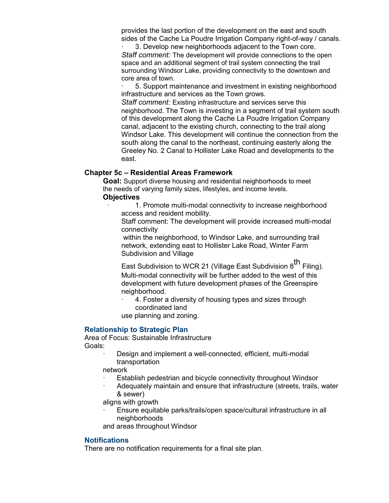provides the last portion of the development on the east and south sides of the Cache La Poudre Irrigation Company right-of-way / canals.

3. Develop new neighborhoods adjacent to the Town core. *Staff comment:* The development will provide connections to the open space and an additional segment of trail system connecting the trail surrounding Windsor Lake, providing connectivity to the downtown and core area of town.

5. Support maintenance and investment in existing neighborhood infrastructure and services as the Town grows.

*Staff comment:* Existing infrastructure and services serve this neighborhood. The Town is investing in a segment of trail system south of this development along the Cache La Poudre Irrigation Company canal, adjacent to the existing church, connecting to the trail along Windsor Lake. This development will continue the connection from the south along the canal to the northeast, continuing easterly along the Greeley No. 2 Canal to Hollister Lake Road and developments to the east.

### **Chapter 5c – Residential Areas Framework**

**Goal:** Support diverse housing and residential neighborhoods to meet the needs of varying family sizes, lifestyles, and income levels. **Objectives**

1. Promote multi-modal connectivity to increase neighborhood access and resident mobility.

Staff comment: The development will provide increased multi-modal connectivity

within the neighborhood, to Windsor Lake, and surrounding trail network, extending east to Hollister Lake Road, Winter Farm Subdivision and Village

East Subdivision to WCR 21 (Village East Subdivision  $8^{th}$  Filing). Multi-modal connectivity will be further added to the west of this development with future development phases of the Greenspire neighborhood.

4. Foster a diversity of housing types and sizes through coordinated land

use planning and zoning.

#### **Relationship to Strategic Plan**

Area of Focus: Sustainable Infrastructure Goals:

> Design and implement a well-connected, efficient, multi-modal transportation

network

- Establish pedestrian and bicycle connectivity throughout Windsor
- · Adequately maintain and ensure that infrastructure (streets, trails, water & sewer)

aligns with growth

· Ensure equitable parks/trails/open space/cultural infrastructure in all neighborhoods

and areas throughout Windsor

#### **Notifications**

There are no notification requirements for a final site plan.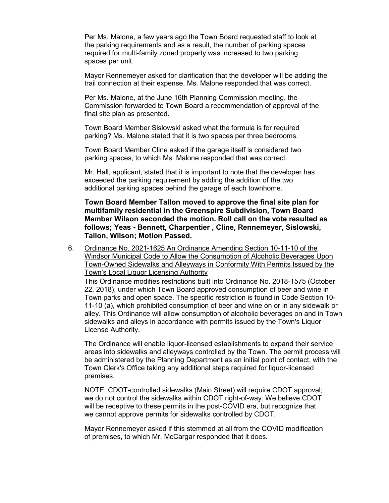Per Ms. Malone, a few years ago the Town Board requested staff to look at the parking requirements and as a result, the number of parking spaces required for multi-family zoned property was increased to two parking spaces per unit.

Mayor Rennemeyer asked for clarification that the developer will be adding the trail connection at their expense, Ms. Malone responded that was correct.

Per Ms. Malone, at the June 16th Planning Commission meeting, the Commission forwarded to Town Board a recommendation of approval of the final site plan as presented.

Town Board Member Sislowski asked what the formula is for required parking? Ms. Malone stated that it is two spaces per three bedrooms.

Town Board Member Cline asked if the garage itself is considered two parking spaces, to which Ms. Malone responded that was correct.

Mr. Hall, applicant, stated that it is important to note that the developer has exceeded the parking requirement by adding the addition of the two additional parking spaces behind the garage of each townhome.

**Town Board Member Tallon moved to approve the final site plan for multifamily residential in the Greenspire Subdivision, Town Board Member Wilson seconded the motion. Roll call on the vote resulted as follows; Yeas - Bennett, Charpentier , Cline, Rennemeyer, Sislowski, Tallon, Wilson; Motion Passed.**

6. Ordinance No. 2021-1625 An Ordinance Amending Section 10-11-10 of the Windsor Municipal Code to Allow the Consumption of Alcoholic Beverages Upon Town-Owned Sidewalks and Alleyways in Conformity With Permits Issued by the Town's Local Liquor Licensing Authority

This Ordinance modifies restrictions built into Ordinance No. 2018-1575 (October 22, 2018), under which Town Board approved consumption of beer and wine in Town parks and open space. The specific restriction is found in Code Section 10- 11-10 (a), which prohibited consumption of beer and wine on or in any sidewalk or alley. This Ordinance will allow consumption of alcoholic beverages on and in Town sidewalks and alleys in accordance with permits issued by the Town's Liquor License Authority.

The Ordinance will enable liquor-licensed establishments to expand their service areas into sidewalks and alleyways controlled by the Town. The permit process will be administered by the Planning Department as an initial point of contact, with the Town Clerk's Office taking any additional steps required for liquor-licensed premises.

NOTE: CDOT-controlled sidewalks (Main Street) will require CDOT approval; we do not control the sidewalks within CDOT right-of-way. We believe CDOT will be receptive to these permits in the post-COVID era, but recognize that we cannot approve permits for sidewalks controlled by CDOT.

Mayor Rennemeyer asked if this stemmed at all from the COVID modification of premises, to which Mr. McCargar responded that it does.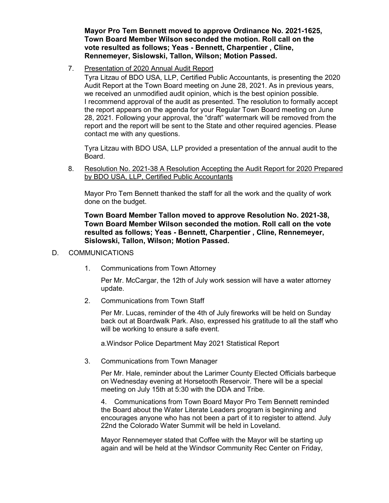**Mayor Pro Tem Bennett moved to approve Ordinance No. 2021-1625, Town Board Member Wilson seconded the motion. Roll call on the vote resulted as follows; Yeas - Bennett, Charpentier , Cline, Rennemeyer, Sislowski, Tallon, Wilson; Motion Passed.**

### 7. Presentation of 2020 Annual Audit Report

Tyra Litzau of BDO USA, LLP, Certified Public Accountants, is presenting the 2020 Audit Report at the Town Board meeting on June 28, 2021. As in previous years, we received an unmodified audit opinion, which is the best opinion possible. I recommend approval of the audit as presented. The resolution to formally accept the report appears on the agenda for your Regular Town Board meeting on June 28, 2021. Following your approval, the "draft" watermark will be removed from the report and the report will be sent to the State and other required agencies. Please contact me with any questions.

Tyra Litzau with BDO USA, LLP provided a presentation of the annual audit to the Board.

8. Resolution No. 2021-38 A Resolution Accepting the Audit Report for 2020 Prepared by BDO USA, LLP, Certified Public Accountants

Mayor Pro Tem Bennett thanked the staff for all the work and the quality of work done on the budget.

**Town Board Member Tallon moved to approve Resolution No. 2021-38, Town Board Member Wilson seconded the motion. Roll call on the vote resulted as follows; Yeas - Bennett, Charpentier , Cline, Rennemeyer, Sislowski, Tallon, Wilson; Motion Passed.**

### D. COMMUNICATIONS

1. Communications from Town Attorney

Per Mr. McCargar, the 12th of July work session will have a water attorney update.

2. Communications from Town Staff

Per Mr. Lucas, reminder of the 4th of July fireworks will be held on Sunday back out at Boardwalk Park. Also, expressed his gratitude to all the staff who will be working to ensure a safe event.

a.Windsor Police Department May 2021 Statistical Report

3. Communications from Town Manager

Per Mr. Hale, reminder about the Larimer County Elected Officials barbeque on Wednesday evening at Horsetooth Reservoir. There will be a special meeting on July 15th at 5:30 with the DDA and Tribe.

4. Communications from Town Board Mayor Pro Tem Bennett reminded the Board about the Water Literate Leaders program is beginning and encourages anyone who has not been a part of it to register to attend. July 22nd the Colorado Water Summit will be held in Loveland.

Mayor Rennemeyer stated that Coffee with the Mayor will be starting up again and will be held at the Windsor Community Rec Center on Friday,